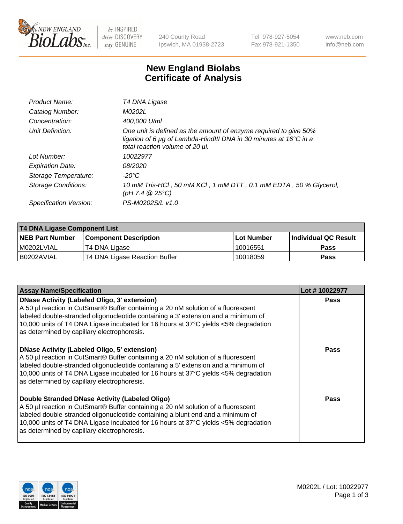

be INSPIRED drive DISCOVERY stay GENUINE

240 County Road Ipswich, MA 01938-2723 Tel 978-927-5054 Fax 978-921-1350 www.neb.com info@neb.com

## **New England Biolabs Certificate of Analysis**

| Product Name:              | T4 DNA Ligase                                                                                                                                                            |
|----------------------------|--------------------------------------------------------------------------------------------------------------------------------------------------------------------------|
| Catalog Number:            | M0202L                                                                                                                                                                   |
| Concentration:             | 400,000 U/ml                                                                                                                                                             |
| Unit Definition:           | One unit is defined as the amount of enzyme required to give 50%<br>ligation of 6 µg of Lambda-HindIII DNA in 30 minutes at 16°C in a<br>total reaction volume of 20 µl. |
| Lot Number:                | 10022977                                                                                                                                                                 |
| <b>Expiration Date:</b>    | 08/2020                                                                                                                                                                  |
| Storage Temperature:       | -20°C                                                                                                                                                                    |
| <b>Storage Conditions:</b> | 10 mM Tris-HCl, 50 mM KCl, 1 mM DTT, 0.1 mM EDTA, 50 % Glycerol,<br>(pH 7.4 $@25°C$ )                                                                                    |
| Specification Version:     | PS-M0202S/L v1.0                                                                                                                                                         |

| T4 DNA Ligase Component List |                               |              |                             |  |
|------------------------------|-------------------------------|--------------|-----------------------------|--|
| <b>NEB Part Number</b>       | <b>Component Description</b>  | l Lot Number | <b>Individual QC Result</b> |  |
| M0202LVIAL                   | T4 DNA Ligase                 | 10016551     | <b>Pass</b>                 |  |
| I B0202AVIAL                 | T4 DNA Ligase Reaction Buffer | 10018059     | <b>Pass</b>                 |  |

| <b>Assay Name/Specification</b>                                                                                                                                                                                                                                                                                                                               | Lot #10022977 |
|---------------------------------------------------------------------------------------------------------------------------------------------------------------------------------------------------------------------------------------------------------------------------------------------------------------------------------------------------------------|---------------|
| DNase Activity (Labeled Oligo, 3' extension)<br>A 50 µl reaction in CutSmart® Buffer containing a 20 nM solution of a fluorescent<br>labeled double-stranded oligonucleotide containing a 3' extension and a minimum of<br>10,000 units of T4 DNA Ligase incubated for 16 hours at 37°C yields <5% degradation<br>as determined by capillary electrophoresis. | <b>Pass</b>   |
| DNase Activity (Labeled Oligo, 5' extension)<br>A 50 µl reaction in CutSmart® Buffer containing a 20 nM solution of a fluorescent<br>labeled double-stranded oligonucleotide containing a 5' extension and a minimum of<br>10,000 units of T4 DNA Ligase incubated for 16 hours at 37°C yields <5% degradation<br>as determined by capillary electrophoresis. | Pass          |
| Double Stranded DNase Activity (Labeled Oligo)<br>A 50 µl reaction in CutSmart® Buffer containing a 20 nM solution of a fluorescent<br>abeled double-stranded oligonucleotide containing a blunt end and a minimum of<br>10,000 units of T4 DNA Ligase incubated for 16 hours at 37°C yields <5% degradation<br>as determined by capillary electrophoresis.   | Pass          |

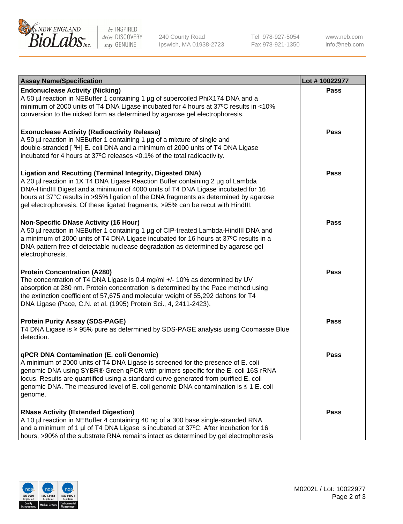

be INSPIRED drive DISCOVERY stay GENUINE

240 County Road Ipswich, MA 01938-2723 Tel 978-927-5054 Fax 978-921-1350

www.neb.com info@neb.com

| <b>Assay Name/Specification</b>                                                                                                                                                                                                                                                                                                                                                                                    | Lot #10022977 |
|--------------------------------------------------------------------------------------------------------------------------------------------------------------------------------------------------------------------------------------------------------------------------------------------------------------------------------------------------------------------------------------------------------------------|---------------|
| <b>Endonuclease Activity (Nicking)</b><br>A 50 µl reaction in NEBuffer 1 containing 1 µg of supercoiled PhiX174 DNA and a<br>minimum of 2000 units of T4 DNA Ligase incubated for 4 hours at 37°C results in <10%<br>conversion to the nicked form as determined by agarose gel electrophoresis.                                                                                                                   | <b>Pass</b>   |
| <b>Exonuclease Activity (Radioactivity Release)</b><br>A 50 µl reaction in NEBuffer 1 containing 1 µg of a mixture of single and<br>double-stranded [3H] E. coli DNA and a minimum of 2000 units of T4 DNA Ligase<br>incubated for 4 hours at 37°C releases <0.1% of the total radioactivity.                                                                                                                      | <b>Pass</b>   |
| <b>Ligation and Recutting (Terminal Integrity, Digested DNA)</b><br>A 20 µl reaction in 1X T4 DNA Ligase Reaction Buffer containing 2 µg of Lambda<br>DNA-HindIII Digest and a minimum of 4000 units of T4 DNA Ligase incubated for 16<br>hours at 37°C results in >95% ligation of the DNA fragments as determined by agarose<br>gel electrophoresis. Of these ligated fragments, >95% can be recut with HindIII. | <b>Pass</b>   |
| <b>Non-Specific DNase Activity (16 Hour)</b><br>A 50 µl reaction in NEBuffer 1 containing 1 µg of CIP-treated Lambda-HindIII DNA and<br>a minimum of 2000 units of T4 DNA Ligase incubated for 16 hours at 37°C results in a<br>DNA pattern free of detectable nuclease degradation as determined by agarose gel<br>electrophoresis.                                                                               | <b>Pass</b>   |
| <b>Protein Concentration (A280)</b><br>The concentration of T4 DNA Ligase is 0.4 mg/ml +/- 10% as determined by UV<br>absorption at 280 nm. Protein concentration is determined by the Pace method using<br>the extinction coefficient of 57,675 and molecular weight of 55,292 daltons for T4<br>DNA Ligase (Pace, C.N. et al. (1995) Protein Sci., 4, 2411-2423).                                                | <b>Pass</b>   |
| <b>Protein Purity Assay (SDS-PAGE)</b><br>T4 DNA Ligase is ≥ 95% pure as determined by SDS-PAGE analysis using Coomassie Blue<br>detection.                                                                                                                                                                                                                                                                        | <b>Pass</b>   |
| qPCR DNA Contamination (E. coli Genomic)<br>A minimum of 2000 units of T4 DNA Ligase is screened for the presence of E. coli<br>genomic DNA using SYBR® Green qPCR with primers specific for the E. coli 16S rRNA<br>locus. Results are quantified using a standard curve generated from purified E. coli<br>genomic DNA. The measured level of E. coli genomic DNA contamination is ≤ 1 E. coli<br>genome.        | Pass          |
| <b>RNase Activity (Extended Digestion)</b><br>A 10 µl reaction in NEBuffer 4 containing 40 ng of a 300 base single-stranded RNA<br>and a minimum of 1 µl of T4 DNA Ligase is incubated at 37°C. After incubation for 16<br>hours, >90% of the substrate RNA remains intact as determined by gel electrophoresis                                                                                                    | <b>Pass</b>   |